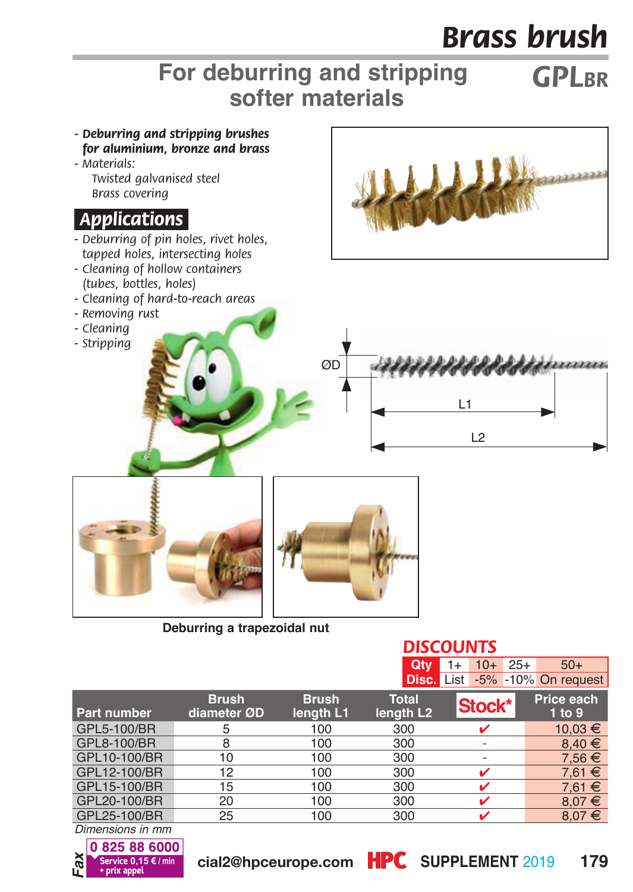## *Brass brush*

## *GPLBR* **For deburring and stripping softer materials**



**Deburring a trapezoidal nut**

|                    |                             |                     | Qtv                            | $10+25+$<br>1+ | $50+$                                 |
|--------------------|-----------------------------|---------------------|--------------------------------|----------------|---------------------------------------|
|                    |                             |                     |                                |                | <b>Disc.</b> List -5% -10% On request |
| <b>Part number</b> | <b>Brush</b><br>diameter ØD | Brush.<br>length L1 | Total<br>length L <sub>2</sub> | 'Stock*        | Price each<br>1 to 9                  |
| GPL5-100/BR        | 5                           | 100                 | 300                            | ✓              | 10.03 €                               |
| GPL8-100/BR        | 8                           | 100                 | 300                            |                | $8.40 \in$                            |
| GPL10-100/BR       | 10                          | 100                 | 300                            |                | $7.56 \in$                            |
| GPL12-100/BR       | 12                          | 100                 | 300                            |                | $7.61 \in$                            |
| GPL15-100/BR       | 15                          | 100                 | 300                            |                | $7.61 \in$                            |
| GPL20-100/BR       | 20                          | 100                 | 300                            |                | $8.07 \in$                            |
| GPL25-100/BR       | 25                          | 100                 | 300                            |                | $8.07 \in$                            |
|                    |                             |                     |                                |                |                                       |

*Dimensions in mm*



*DISCOUNTS*